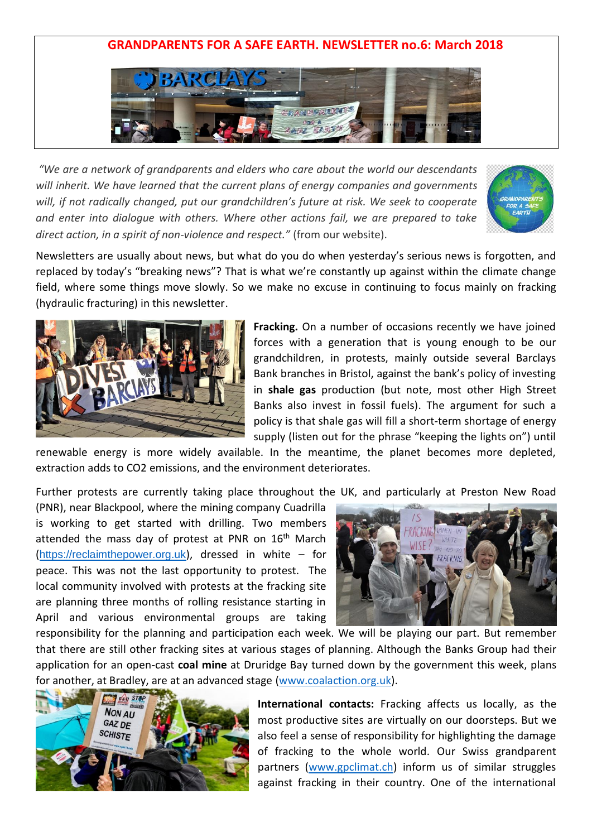## **GRANDPARENTS FOR A SAFE EARTH. NEWSLETTER no.6: March 2018**



*"We are a network of grandparents and elders who care about the world our descendants will inherit. We have learned that the current plans of energy companies and governments will, if not radically changed, put our grandchildren's future at risk. We seek to cooperate and enter into dialogue with others. Where other actions fail, we are prepared to take direct action, in a spirit of non-violence and respect."* (from our website).



Newsletters are usually about news, but what do you do when yesterday's serious news is forgotten, and replaced by today's "breaking news"? That is what we're constantly up against within the climate change field, where some things move slowly. So we make no excuse in continuing to focus mainly on fracking (hydraulic fracturing) in this newsletter.



**Fracking.** On a number of occasions recently we have joined forces with a generation that is young enough to be our grandchildren, in protests, mainly outside several Barclays Bank branches in Bristol, against the bank's policy of investing in **shale gas** production (but note, most other High Street Banks also invest in fossil fuels). The argument for such a policy is that shale gas will fill a short-term shortage of energy supply (listen out for the phrase "keeping the lights on") until

renewable energy is more widely available. In the meantime, the planet becomes more depleted, extraction adds to CO2 emissions, and the environment deteriorates.

Further protests are currently taking place throughout the UK, and particularly at Preston New Road

(PNR), near Blackpool, where the mining company Cuadrilla is working to get started with drilling. Two members attended the mass day of protest at PNR on 16<sup>th</sup> March ([https://reclaimthepower.org.uk](https://reclaimthepower.org.uk/)), dressed in white – for peace. This was not the last opportunity to protest. The local community involved with protests at the fracking site are planning three months of rolling resistance starting in April and various environmental groups are taking



responsibility for the planning and participation each week. We will be playing our part. But remember that there are still other fracking sites at various stages of planning. Although the Banks Group had their application for an open-cast **coal mine** at Druridge Bay turned down by the government this week, plans for another, at Bradley, are at an advanced stage [\(www.coalaction.org.uk\)](http://www.coalaction.org.uk/).



**International contacts:** Fracking affects us locally, as the most productive sites are virtually on our doorsteps. But we also feel a sense of responsibility for highlighting the damage of fracking to the whole world. Our Swiss grandparent partners [\(www.gpclimat.ch\)](http://www.gpclimat.ch/) inform us of similar struggles against fracking in their country. One of the international